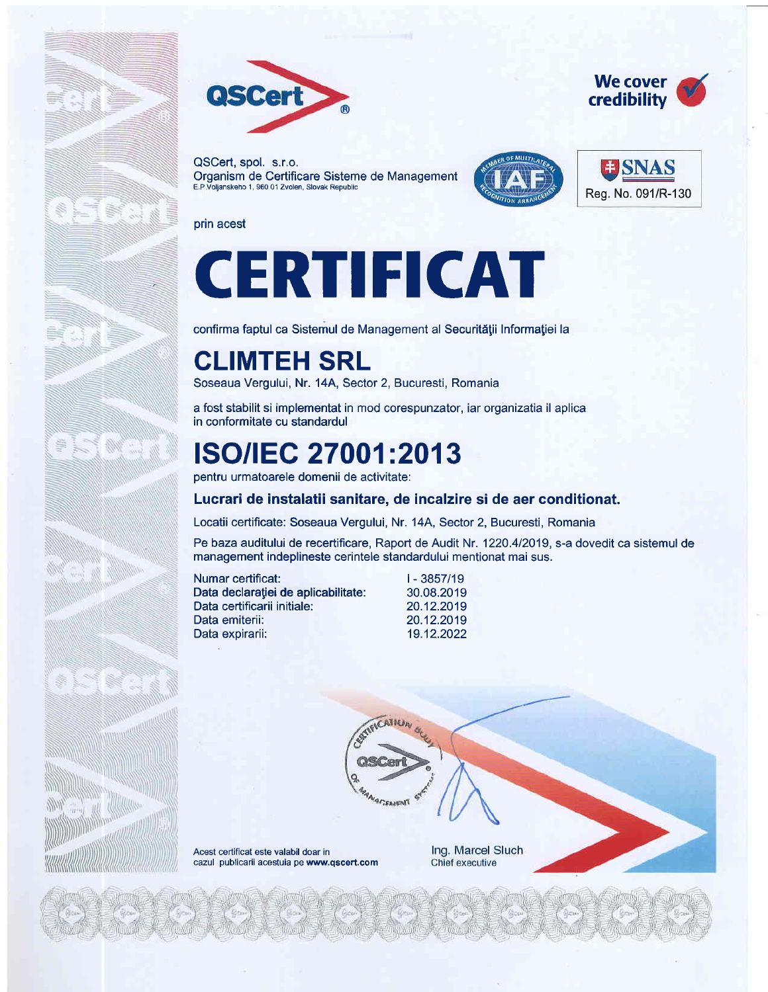

QSCert, spol. s.r.o. Organism de Certificare Sisteme de Management E.P Voljanskeho 1, 960 01 Zvolen, Slovak Republic





We cover credibility

prin acest

Here

# CERTIFICAT

confirma faptul ca Sistemul de Management al Securității Informației la

### CLIMTEH SRL

Soseaua Vergului, Nr. 14A, Sector 2, Bucuresti, Romania

a fost stabilit si implementat in mod corespunzator, iar organizatia il aplica in conformitate cu standardul

### **ISO/IEC 27001:2013**

pentru urmatoarele domenii de activitate:

#### Lucrari de instalatii sanitare, de incalzire si de aer conditionat.

Locatii certificate: Soseaua Vergului, Nr. 14A, Sector 2, Bucuresti, Romania

CATHIN

**MANARTEASTNT** 

Pe baza auditului de recertificare, Raport de Audit Nr. 1220.4/2019, s-a dovedit ca sistemul de management indeplineste cerintele standardului mentionat mai sus.

| Numar certificat:                   |   |
|-------------------------------------|---|
| Data declarației de aplicabilitate: | 3 |
| Data certificarii initiale:         | 2 |
| Data emiterii:                      | 2 |
| Data expirarii:                     |   |

 $-3857/19$ 80.08.2019 0.12.2019 0.12.2019 9.12.2022



Ing. Marcel Sluch Chief executive